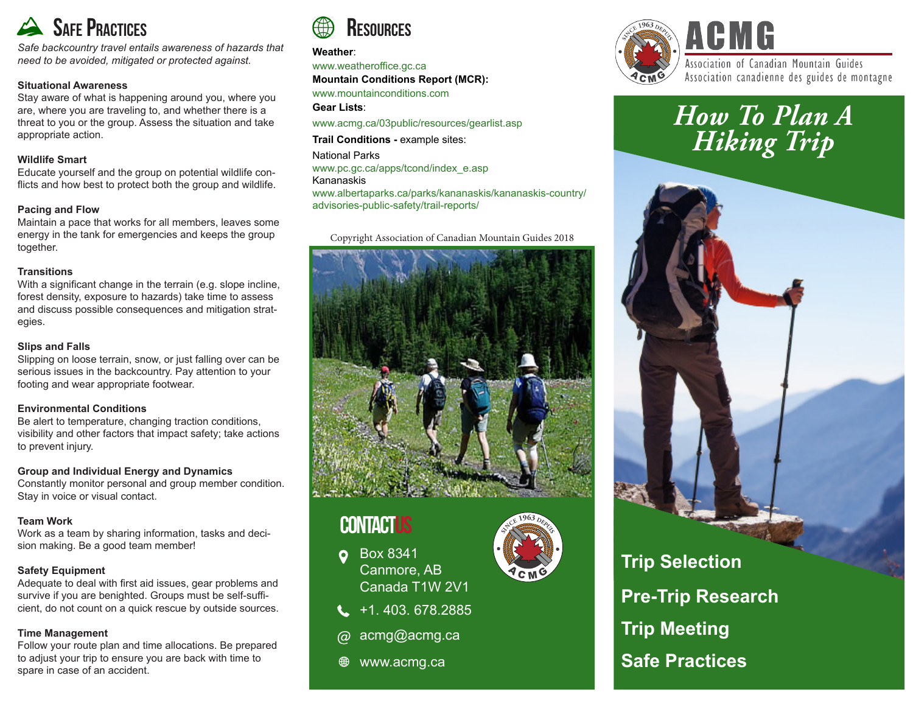

*Safe backcountry travel entails awareness of hazards that need to be avoided, mitigated or protected against.*

### **Situational Awareness**

Stay aware of what is happening around you, where you are, where you are traveling to, and whether there is a threat to you or the group. Assess the situation and take appropriate action.

### **Wildlife Smart**

Educate yourself and the group on potential wildlife conflicts and how best to protect both the group and wildlife.

### **Pacing and Flow**

Maintain a pace that works for all members, leaves some energy in the tank for emergencies and keeps the group together.

### **Transitions**

With a significant change in the terrain (e.g. slope incline, forest density, exposure to hazards) take time to assess and discuss possible consequences and mitigation strategies.

### **Slips and Falls**

Slipping on loose terrain, snow, or just falling over can be serious issues in the backcountry. Pay attention to your footing and wear appropriate footwear.

### **Environmental Conditions**

Be alert to temperature, changing traction conditions, visibility and other factors that impact safety; take actions to prevent injury.

### **Group and Individual Energy and Dynamics**

Constantly monitor personal and group member condition. Stay in voice or visual contact.

### **Team Work**

Work as a team by sharing information, tasks and decision making. Be a good team member!

### **Safety Equipment**

Adequate to deal with first aid issues, gear problems and survive if you are benighted. Groups must be self-sufficient, do not count on a quick rescue by outside sources.

### **Time Management**

Follow your route plan and time allocations. Be prepared to adjust your trip to ensure you are back with time to spare in case of an accident.



#### **Weather**:

www.weatheroffice.gc.ca **Mountain Conditions Report (MCR):** 

www.mountainconditions.com

#### **Gear Lists**:

www.acmg.ca/03public/resources/gearlist.asp

**Trail Conditions -** example sites:

National Parks www.pc.gc.ca/apps/tcond/index\_e.asp Kananaskis www.albertaparks.ca/parks/kananaskis/kananaskis-country/ advisories-public-safety/trail-reports/

### Copyright Association of Canadian Mountain Guides 2018



# **CONTACTUS**

- Box 8341  $\bullet$ Canmore, AB Canada T1W 2V1
- $\leftarrow$  +1. 403. 678.2885
- acmg@acmg.ca ര
- ⊕ www.acmg.ca



### Association of Canadian Mountain Guides Association canadienne des guides de montagne

# *How To Plan A Hiking Trip*



**Trip Meeting**

## **Safe Practices**